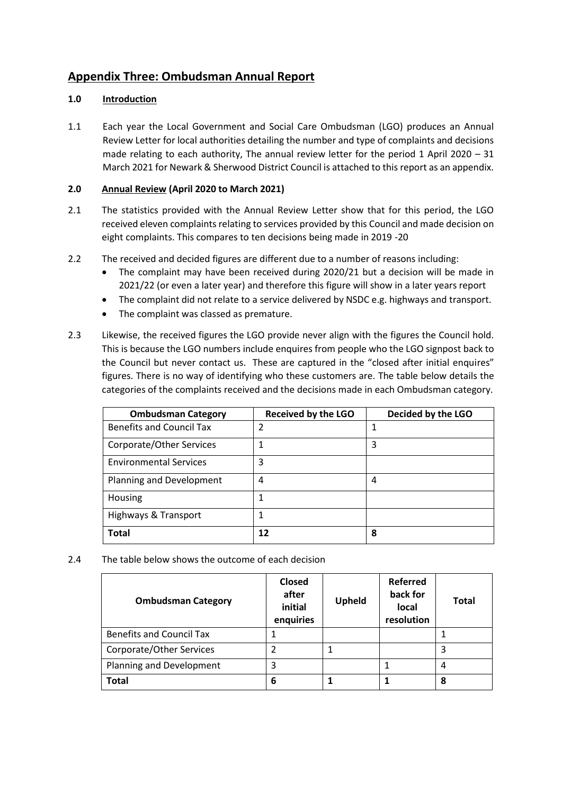## **Appendix Three: Ombudsman Annual Report**

## **1.0 Introduction**

1.1 Each year the Local Government and Social Care Ombudsman (LGO) produces an Annual Review Letter for local authorities detailing the number and type of complaints and decisions made relating to each authority, The annual review letter for the period 1 April 2020 – 31 March 2021 for Newark & Sherwood District Council is attached to this report as an appendix.

## **2.0 Annual Review (April 2020 to March 2021)**

- 2.1 The statistics provided with the Annual Review Letter show that for this period, the LGO received eleven complaints relating to services provided by this Council and made decision on eight complaints. This compares to ten decisions being made in 2019 -20
- 2.2 The received and decided figures are different due to a number of reasons including:
	- The complaint may have been received during 2020/21 but a decision will be made in 2021/22 (or even a later year) and therefore this figure will show in a later years report
	- The complaint did not relate to a service delivered by NSDC e.g. highways and transport.
	- The complaint was classed as premature.
- 2.3 Likewise, the received figures the LGO provide never align with the figures the Council hold. This is because the LGO numbers include enquires from people who the LGO signpost back to the Council but never contact us. These are captured in the "closed after initial enquires" figures. There is no way of identifying who these customers are. The table below details the categories of the complaints received and the decisions made in each Ombudsman category.

| <b>Ombudsman Category</b>       | <b>Received by the LGO</b> | Decided by the LGO |
|---------------------------------|----------------------------|--------------------|
| <b>Benefits and Council Tax</b> | 2                          |                    |
| Corporate/Other Services        | 1                          | 3                  |
| <b>Environmental Services</b>   | 3                          |                    |
| Planning and Development        | 4                          | 4                  |
| Housing                         |                            |                    |
| <b>Highways &amp; Transport</b> |                            |                    |
| <b>Total</b>                    | 12                         | 8                  |

2.4 The table below shows the outcome of each decision

| <b>Ombudsman Category</b>       | Closed<br>after<br>initial<br>enquiries | <b>Upheld</b> | <b>Referred</b><br>back for<br><b>local</b><br>resolution | <b>Total</b> |
|---------------------------------|-----------------------------------------|---------------|-----------------------------------------------------------|--------------|
| <b>Benefits and Council Tax</b> |                                         |               |                                                           |              |
| Corporate/Other Services        |                                         |               |                                                           | 3            |
| Planning and Development        | 3                                       |               |                                                           | 4            |
| <b>Total</b>                    | 6                                       |               |                                                           | 8            |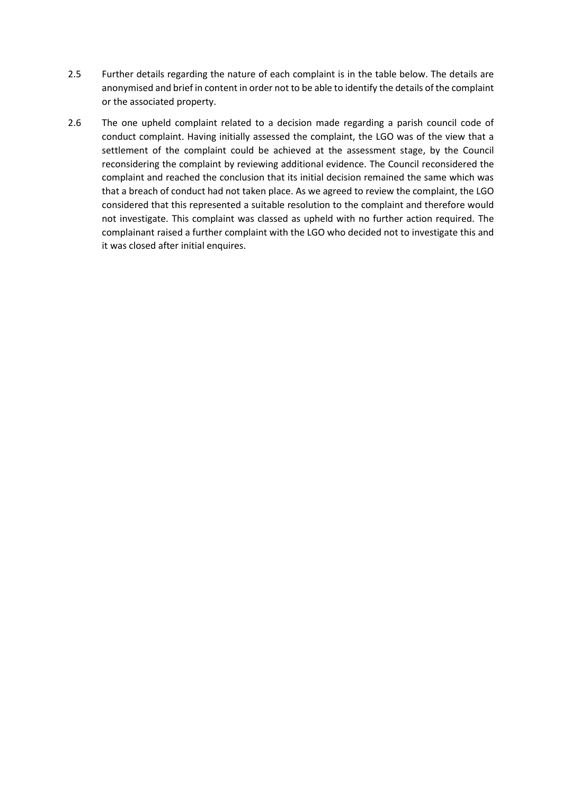- 2.5 Further details regarding the nature of each complaint is in the table below. The details are anonymised and brief in content in order not to be able to identify the details of the complaint or the associated property.
- 2.6 The one upheld complaint related to a decision made regarding a parish council code of conduct complaint. Having initially assessed the complaint, the LGO was of the view that a settlement of the complaint could be achieved at the assessment stage, by the Council reconsidering the complaint by reviewing additional evidence. The Council reconsidered the complaint and reached the conclusion that its initial decision remained the same which was that a breach of conduct had not taken place. As we agreed to review the complaint, the LGO considered that this represented a suitable resolution to the complaint and therefore would not investigate. This complaint was classed as upheld with no further action required. The complainant raised a further complaint with the LGO who decided not to investigate this and it was closed after initial enquires.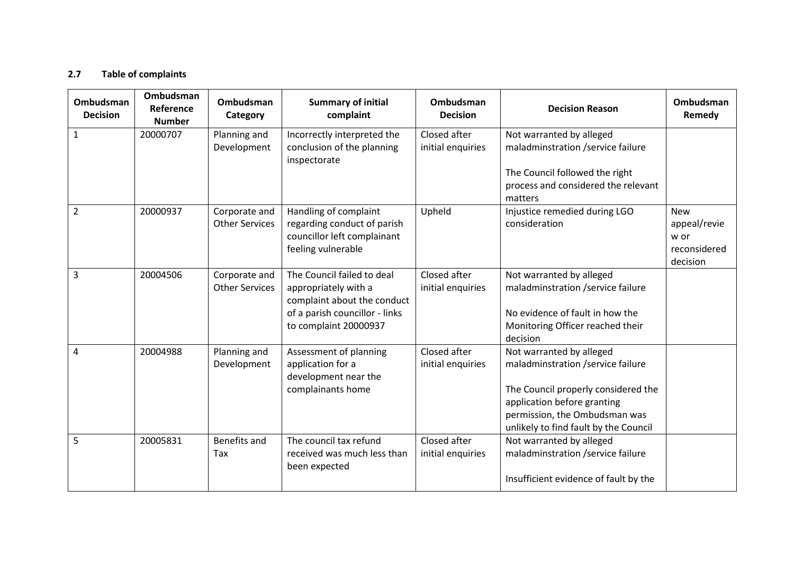## **2.7 Table of complaints**

| <b>Ombudsman</b><br><b>Decision</b> | Ombudsman<br>Reference<br><b>Number</b> | <b>Ombudsman</b><br>Category           | <b>Summary of initial</b><br>complaint                                                                                                       | <b>Ombudsman</b><br><b>Decision</b> | <b>Decision Reason</b>                                                                                                                                                                                        | <b>Ombudsman</b><br>Remedy                                     |
|-------------------------------------|-----------------------------------------|----------------------------------------|----------------------------------------------------------------------------------------------------------------------------------------------|-------------------------------------|---------------------------------------------------------------------------------------------------------------------------------------------------------------------------------------------------------------|----------------------------------------------------------------|
| $\mathbf{1}$                        | 20000707                                | Planning and<br>Development            | Incorrectly interpreted the<br>conclusion of the planning<br>inspectorate                                                                    | Closed after<br>initial enquiries   | Not warranted by alleged<br>maladminstration /service failure<br>The Council followed the right<br>process and considered the relevant                                                                        |                                                                |
| $\overline{2}$                      | 20000937                                | Corporate and<br><b>Other Services</b> | Handling of complaint<br>regarding conduct of parish<br>councillor left complainant<br>feeling vulnerable                                    | Upheld                              | matters<br>Injustice remedied during LGO<br>consideration                                                                                                                                                     | <b>New</b><br>appeal/revie<br>w or<br>reconsidered<br>decision |
| 3                                   | 20004506                                | Corporate and<br><b>Other Services</b> | The Council failed to deal<br>appropriately with a<br>complaint about the conduct<br>of a parish councillor - links<br>to complaint 20000937 | Closed after<br>initial enquiries   | Not warranted by alleged<br>maladminstration /service failure<br>No evidence of fault in how the<br>Monitoring Officer reached their<br>decision                                                              |                                                                |
| 4                                   | 20004988                                | Planning and<br>Development            | Assessment of planning<br>application for a<br>development near the<br>complainants home                                                     | Closed after<br>initial enquiries   | Not warranted by alleged<br>maladminstration /service failure<br>The Council properly considered the<br>application before granting<br>permission, the Ombudsman was<br>unlikely to find fault by the Council |                                                                |
| 5                                   | 20005831                                | Benefits and<br>Tax                    | The council tax refund<br>received was much less than<br>been expected                                                                       | Closed after<br>initial enquiries   | Not warranted by alleged<br>maladminstration /service failure<br>Insufficient evidence of fault by the                                                                                                        |                                                                |